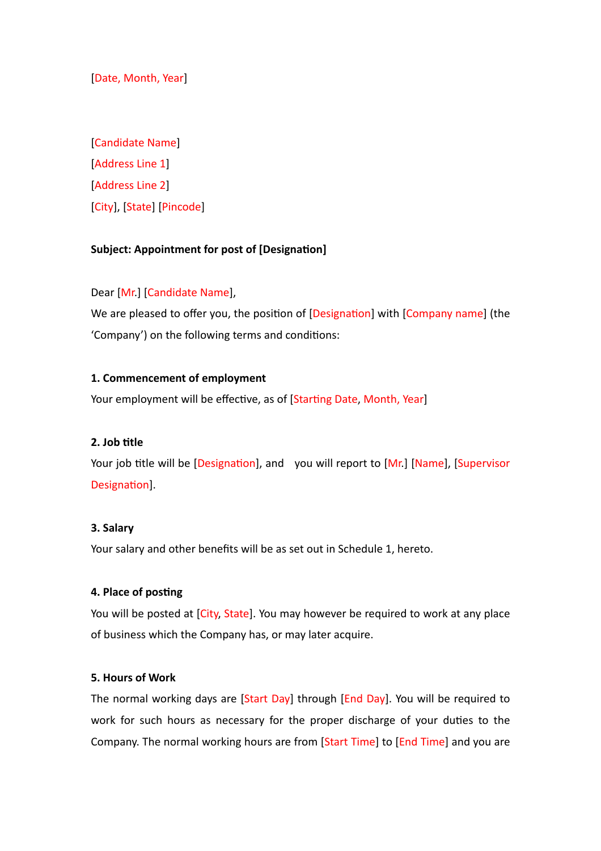[Date, Month, Year]

[Candidate Name] [Address Line 1] [Address Line 2] [City], [State] [Pincode]

## **Subject: Appointment for post of [Designation]**

Dear [Mr.] [Candidate Name],

We are pleased to offer you, the position of [Designation] with [Company name] (the 'Company') on the following terms and conditions:

## **1. Commencement of employment**

Your employment will be effective, as of [Starting Date, Month, Year]

## **2. Job title**

Your job title will be [Designation], and you will report to [Mr.] [Name], [Supervisor Designation].

## **3. Salary**

Your salary and other benefits will be as set out in Schedule 1, hereto.

## **4. Place of posting**

You will be posted at [City, State]. You may however be required to work at any place of business which the Company has, or may later acquire.

## **5. Hours of Work**

The normal working days are [Start Day] through [End Day]. You will be required to work for such hours as necessary for the proper discharge of your duties to the Company. The normal working hours are from [Start Time] to [End Time] and you are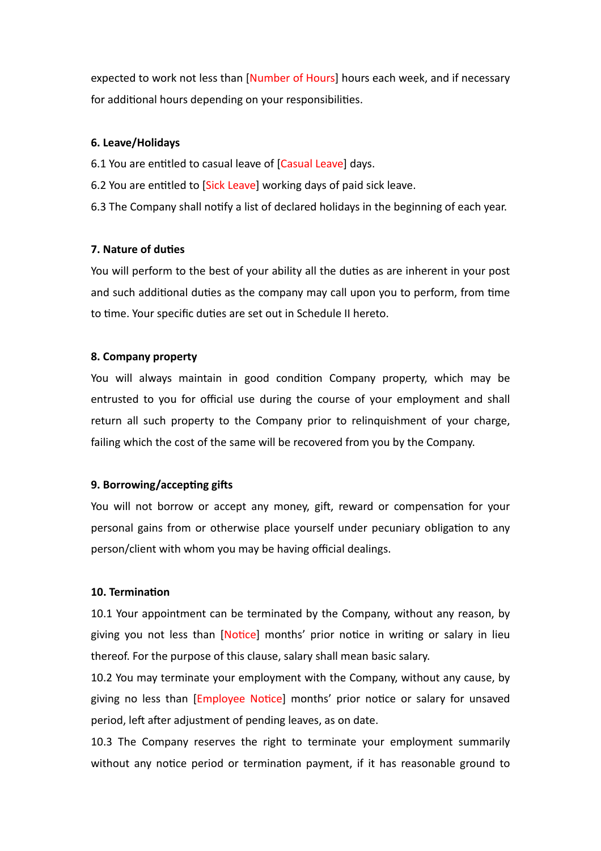expected to work not less than [Number of Hours] hours each week, and if necessary for additional hours depending on your responsibilities.

#### **6. Leave/Holidays**

- 6.1 You are entitled to casual leave of [Casual Leave] days.
- 6.2 You are entitled to [Sick Leave] working days of paid sick leave.
- 6.3 The Company shall notify a list of declared holidays in the beginning of each year.

#### **7. Nature of duties**

You will perform to the best of your ability all the duties as are inherent in your post and such additional duties as the company may call upon you to perform, from time to time. Your specific duties are set out in Schedule II hereto.

#### **8. Company property**

You will always maintain in good condition Company property, which may be entrusted to you for official use during the course of your employment and shall return all such property to the Company prior to relinquishment of your charge, failing which the cost of the same will be recovered from you by the Company.

## **9. Borrowing/accepting gifts**

You will not borrow or accept any money, gift, reward or compensation for your personal gains from or otherwise place yourself under pecuniary obligation to any person/client with whom you may be having official dealings.

#### 10. Termination

10.1 Your appointment can be terminated by the Company, without any reason, by giving you not less than [Notice] months' prior notice in writing or salary in lieu thereof. For the purpose of this clause, salary shall mean basic salary.

10.2 You may terminate your employment with the Company, without any cause, by giving no less than [Employee Notice] months' prior notice or salary for unsaved period, left after adjustment of pending leaves, as on date.

10.3 The Company reserves the right to terminate your employment summarily without any notice period or termination payment, if it has reasonable ground to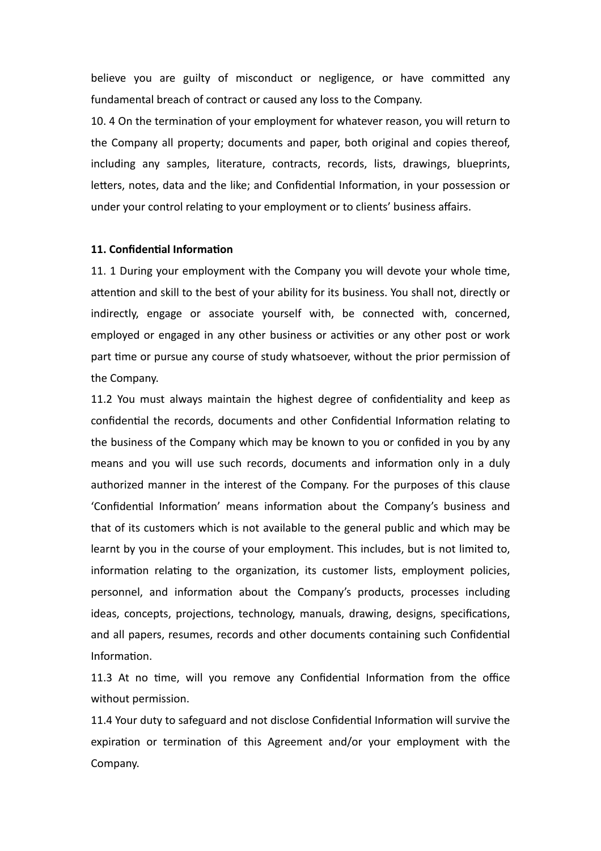believe you are guilty of misconduct or negligence, or have committed any fundamental breach of contract or caused any loss to the Company.

10. 4 On the termination of your employment for whatever reason, you will return to the Company all property; documents and paper, both original and copies thereof, including any samples, literature, contracts, records, lists, drawings, blueprints, letters, notes, data and the like; and Confidential Information, in your possession or under your control relating to your employment or to clients' business affairs.

#### **11. Confidential Information**

11. 1 During your employment with the Company you will devote your whole time, attention and skill to the best of your ability for its business. You shall not, directly or indirectly, engage or associate yourself with, be connected with, concerned, employed or engaged in any other business or activities or any other post or work part time or pursue any course of study whatsoever, without the prior permission of the Company.

11.2 You must always maintain the highest degree of confidentiality and keep as confidential the records, documents and other Confidential Information relating to the business of the Company which may be known to you or confided in you by any means and you will use such records, documents and information only in a duly authorized manner in the interest of the Company. For the purposes of this clause 'Confidential Information' means information about the Company's business and that of its customers which is not available to the general public and which may be learnt by you in the course of your employment. This includes, but is not limited to, information relating to the organization, its customer lists, employment policies, personnel, and information about the Company's products, processes including ideas, concepts, projections, technology, manuals, drawing, designs, specifications, and all papers, resumes, records and other documents containing such Confidential Information.

11.3 At no time, will you remove any Confidential Information from the office without permission.

11.4 Your duty to safeguard and not disclose Confidential Information will survive the expiration or termination of this Agreement and/or your employment with the Company.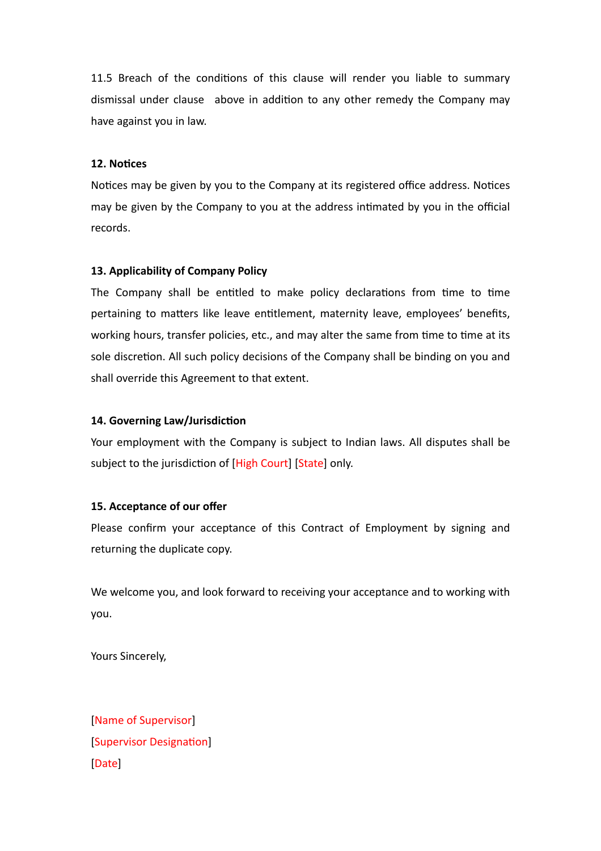11.5 Breach of the conditions of this clause will render you liable to summary dismissal under clause above in addition to any other remedy the Company may have against you in law.

#### 12. Notices

Notices may be given by you to the Company at its registered office address. Notices may be given by the Company to you at the address intimated by you in the official records.

## **13. Applicability of Company Policy**

The Company shall be entitled to make policy declarations from time to time pertaining to matters like leave entitlement, maternity leave, employees' benefits, working hours, transfer policies, etc., and may alter the same from time to time at its sole discretion. All such policy decisions of the Company shall be binding on you and shall override this Agreement to that extent.

## 14. Governing Law/Jurisdiction

Your employment with the Company is subject to Indian laws. All disputes shall be subject to the jurisdiction of [High Court] [State] only.

## **15. Acceptance of our offer**

Please confirm your acceptance of this Contract of Employment by signing and returning the duplicate copy.

We welcome you, and look forward to receiving your acceptance and to working with you.

Yours Sincerely,

[Name of Supervisor] [Supervisor Designation] [Date]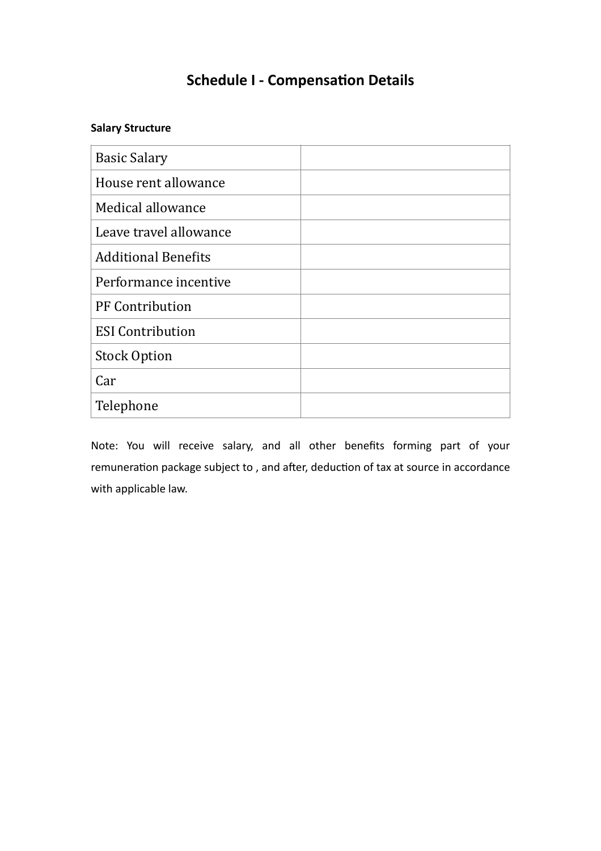## **Schedule I - Compensation Details**

## **Salary Structure**

| <b>Basic Salary</b>        |  |
|----------------------------|--|
| House rent allowance       |  |
| Medical allowance          |  |
| Leave travel allowance     |  |
| <b>Additional Benefits</b> |  |
| Performance incentive      |  |
| <b>PF Contribution</b>     |  |
| <b>ESI Contribution</b>    |  |
| <b>Stock Option</b>        |  |
| Car                        |  |
| Telephone                  |  |

Note: You will receive salary, and all other benefits forming part of your remuneration package subject to, and after, deduction of tax at source in accordance with applicable law.